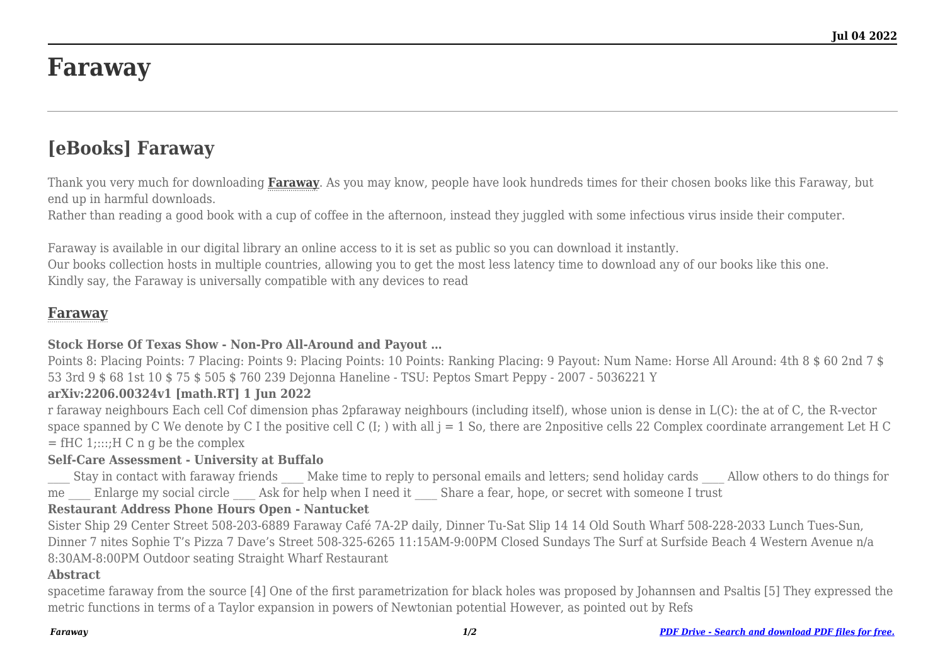# **Faraway**

# **[eBooks] Faraway**

Thank you very much for downloading **[Faraway](http://jessicaberan.com)**. As you may know, people have look hundreds times for their chosen books like this Faraway, but end up in harmful downloads.

Rather than reading a good book with a cup of coffee in the afternoon, instead they juggled with some infectious virus inside their computer.

Faraway is available in our digital library an online access to it is set as public so you can download it instantly.

Our books collection hosts in multiple countries, allowing you to get the most less latency time to download any of our books like this one. Kindly say, the Faraway is universally compatible with any devices to read

# **[Faraway](http://jessicaberan.com/Faraway.pdf)**

# **Stock Horse Of Texas Show - Non-Pro All-Around and Payout …**

Points 8: Placing Points: 7 Placing: Points 9: Placing Points: 10 Points: Ranking Placing: 9 Payout: Num Name: Horse All Around: 4th 8 \$ 60 2nd 7 \$ 53 3rd 9 \$ 68 1st 10 \$ 75 \$ 505 \$ 760 239 Dejonna Haneline - TSU: Peptos Smart Peppy - 2007 - 5036221 Y

# **arXiv:2206.00324v1 [math.RT] 1 Jun 2022**

r faraway neighbours Each cell Cof dimension phas 2pfaraway neighbours (including itself), whose union is dense in L(C): the at of C, the R-vector space spanned by C We denote by C I the positive cell C  $(I; )$  with all  $j = 1$  So, there are 2npositive cells 22 Complex coordinate arrangement Let H C  $=$  fHC 1;:::;H C n g be the complex

#### **Self-Care Assessment - University at Buffalo**

Stay in contact with faraway friends Make time to reply to personal emails and letters; send holiday cards Allow others to do things for me Enlarge my social circle Ask for help when I need it Share a fear, hope, or secret with someone I trust

#### **Restaurant Address Phone Hours Open - Nantucket**

Sister Ship 29 Center Street 508-203-6889 Faraway Café 7A-2P daily, Dinner Tu-Sat Slip 14 14 Old South Wharf 508-228-2033 Lunch Tues-Sun, Dinner 7 nites Sophie T's Pizza 7 Dave's Street 508-325-6265 11:15AM-9:00PM Closed Sundays The Surf at Surfside Beach 4 Western Avenue n/a 8:30AM-8:00PM Outdoor seating Straight Wharf Restaurant

#### **Abstract**

spacetime faraway from the source [4] One of the first parametrization for black holes was proposed by Johannsen and Psaltis [5] They expressed the metric functions in terms of a Taylor expansion in powers of Newtonian potential However, as pointed out by Refs